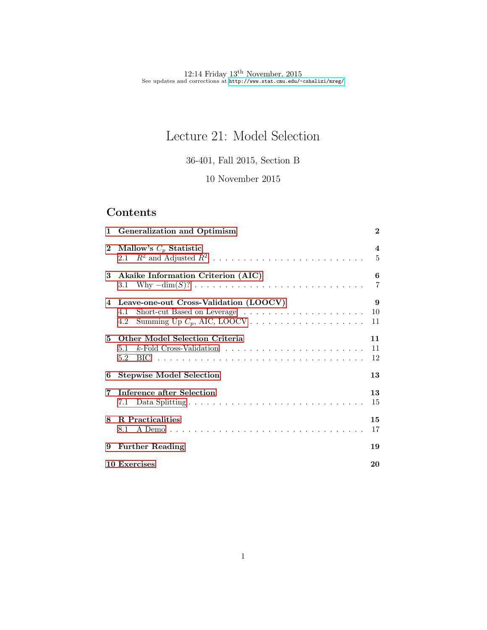# Lecture 21: Model Selection

36-401, Fall 2015, Section B

10 November 2015

## Contents

|              | 1 Generalization and Optimism                                                                                                     |                       |  |  |  |  |  |
|--------------|-----------------------------------------------------------------------------------------------------------------------------------|-----------------------|--|--|--|--|--|
| $\mathbf{2}$ | Mallow's $C_p$ Statistic<br>2.1 $R^2$ and Adjusted $R^2$                                                                          | $\boldsymbol{4}$<br>5 |  |  |  |  |  |
| 3            | Akaike Information Criterion (AIC)                                                                                                | 6<br>$\overline{7}$   |  |  |  |  |  |
|              | 4 Leave-one-out Cross-Validation (LOOCV)<br>Short-cut Based on Leverage $\dots \dots \dots \dots \dots \dots \dots$<br>4.1<br>4.2 | 9<br>10<br>11         |  |  |  |  |  |
| 5.           | <b>Other Model Selection Criteria</b>                                                                                             | 11<br>11<br>12        |  |  |  |  |  |
| 6            | <b>Stepwise Model Selection</b>                                                                                                   | 13                    |  |  |  |  |  |
| 7            | Inference after Selection                                                                                                         | 13<br>15              |  |  |  |  |  |
| 8            | <b>R</b> Practicalities                                                                                                           | 15<br>17              |  |  |  |  |  |
|              | 9 Further Reading                                                                                                                 | 19                    |  |  |  |  |  |
|              | 10 Exercises                                                                                                                      | 20                    |  |  |  |  |  |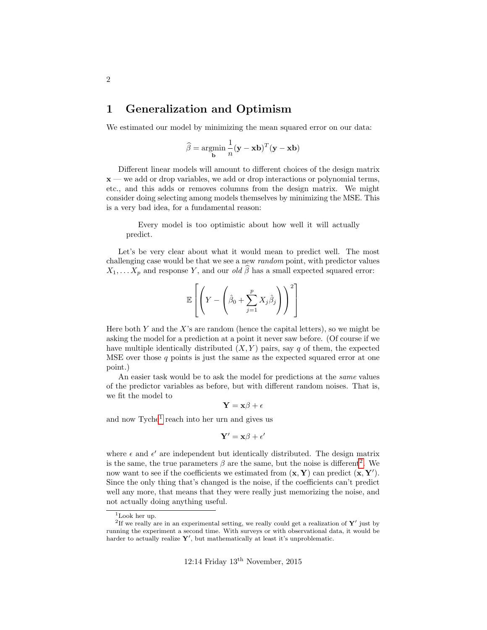## <span id="page-1-0"></span>1 Generalization and Optimism

We estimated our model by minimizing the mean squared error on our data:

$$
\widehat{\beta} = \operatorname*{argmin}_{\mathbf{b}} \frac{1}{n} (\mathbf{y} - \mathbf{x} \mathbf{b})^T (\mathbf{y} - \mathbf{x} \mathbf{b})
$$

Different linear models will amount to different choices of the design matrix  $x$  — we add or drop variables, we add or drop interactions or polynomial terms, etc., and this adds or removes columns from the design matrix. We might consider doing selecting among models themselves by minimizing the MSE. This is a very bad idea, for a fundamental reason:

Every model is too optimistic about how well it will actually predict.

Let's be very clear about what it would mean to predict well. The most challenging case would be that we see a new random point, with predictor values  $X_1, \ldots X_p$  and response Y, and our *old*  $\hat{\beta}$  has a small expected squared error:

$$
\mathbb{E}\left[\left(Y - \left(\hat{\beta}_0 + \sum_{j=1}^p X_j \hat{\beta}_j\right)\right)^2\right]
$$

Here both Y and the X's are random (hence the capital letters), so we might be asking the model for a prediction at a point it never saw before. (Of course if we have multiple identically distributed  $(X, Y)$  pairs, say q of them, the expected MSE over those  $q$  points is just the same as the expected squared error at one point.)

An easier task would be to ask the model for predictions at the *same* values of the predictor variables as before, but with different random noises. That is, we fit the model to

$$
\mathbf{Y} = \mathbf{x}\boldsymbol{\beta} + \boldsymbol{\epsilon}
$$

and now Tyche<sup>[1](#page-1-1)</sup> reach into her urn and gives us

$$
\mathbf{Y}' = \mathbf{x}\beta + \epsilon'
$$

where  $\epsilon$  and  $\epsilon'$  are independent but identically distributed. The design matrix is the same, the true parameters  $\beta$  are the same, but the noise is different<sup>[2](#page-1-2)</sup>. We now want to see if the coefficients we estimated from  $(\mathbf{x}, \mathbf{Y})$  can predict  $(\mathbf{x}, \mathbf{Y}')$ . Since the only thing that's changed is the noise, if the coefficients can't predict well any more, that means that they were really just memorizing the noise, and not actually doing anything useful.

<span id="page-1-2"></span><span id="page-1-1"></span><sup>1</sup>Look her up.

<sup>&</sup>lt;sup>2</sup>If we really are in an experimental setting, we really could get a realization of  $Y'$  just by running the experiment a second time. With surveys or with observational data, it would be harder to actually realize  $Y'$ , but mathematically at least it's unproblematic.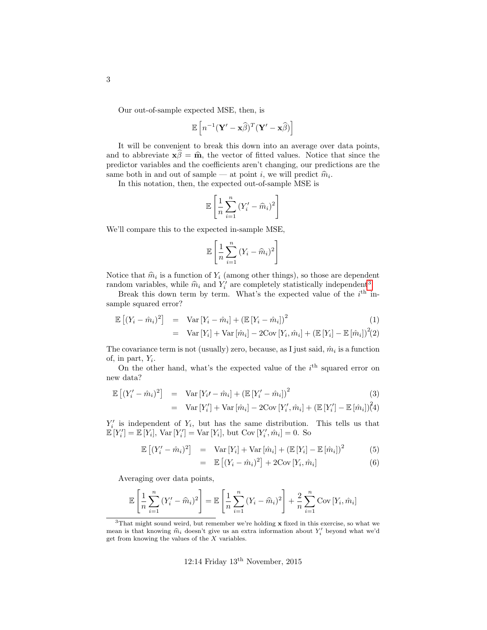Our out-of-sample expected MSE, then, is

$$
\mathbb{E}\left[n^{-1}(\mathbf{Y}'-\mathbf{x}\widehat{\beta})^T(\mathbf{Y}'-\mathbf{x}\widehat{\beta})\right]
$$

It will be convenient to break this down into an average over data points, and to abbreviate  $\mathbf{x}\hat{\beta} = \hat{\mathbf{m}}$ , the vector of fitted values. Notice that since the predictor variables and the coefficients aren't changing, our predictions are the same both in and out of sample — at point *i*, we will predict  $\hat{m}_i$ .<br>In this potation, then the expected out of sample MSF is

In this notation, then, the expected out-of-sample MSE is

$$
\mathbb{E}\left[\frac{1}{n}\sum_{i=1}^{n}(Y_i'-\widehat{m}_i)^2\right]
$$

We'll compare this to the expected in-sample MSE,

$$
\mathbb{E}\left[\frac{1}{n}\sum_{i=1}^{n}\left(Y_i-\widehat{m}_i\right)^2\right]
$$

Notice that  $\hat{m}_i$  is a function of  $Y_i$  (among other things), so those are dependent<br>random variables, while  $\hat{m}_i$  and  $Y'$  are completely etatistically independent<sup>3</sup> random variables, while  $\hat{m}_i$  and  $Y'_i$  are completely statistically independent<sup>[3](#page-2-0)</sup>.<br>Recall this down term by term What's the expected value of the *i*<sup>th</sup> is

Break this down term by term. What's the expected value of the  $i<sup>th</sup>$  insample squared error?

$$
\mathbb{E}\left[\left(Y_i - \hat{m}_i\right)^2\right] = \text{Var}\left[Y_i - \hat{m}_i\right] + \left(\mathbb{E}\left[Y_i - \hat{m}_i\right]\right)^2 \tag{1}
$$
\n
$$
= \text{Var}\left[Y_i\right] + \text{Var}\left[\hat{m}_i\right] - 2\text{Cov}\left[Y_i, \hat{m}_i\right] + \left(\mathbb{E}\left[Y_i\right] - \mathbb{E}\left[\hat{m}_i\right]\right)^2\right] \tag{1}
$$

The covariance term is not (usually) zero, because, as I just said,  $\hat{m}_i$  is a function of, in part,  $Y_i$ .

On the other hand, what's the expected value of the  $i<sup>th</sup>$  squared error on new data?

$$
\mathbb{E}\left[\left(Y_i'-\hat{m}_i\right)^2\right] = \text{Var}\left[Y_i'-\hat{m}_i\right] + \left(\mathbb{E}\left[Y_i'-\hat{m}_i\right]\right)^2
$$
\n
$$
= \text{Var}\left[Y_i'\right] + \text{Var}\left[\hat{m}_i\right] - 2\text{Cov}\left[Y_i',\hat{m}_i\right] + \left(\mathbb{E}\left[Y_i'\right] - \mathbb{E}\left[\hat{m}_i\right]\right)^2\right]
$$
\n(3)

 $Y_i'$  is independent of  $Y_i$ , but has the same distribution. This tells us that  $\mathbb{E}[Y_i'] = \mathbb{E}[Y_i], \text{Var}[Y_i'] = \text{Var}[Y_i], \text{but Cov}[Y_i', \hat{m}_i] = 0.$  So

$$
\mathbb{E}\left[\left(Y_i' - \hat{m}_i\right)^2\right] = \text{Var}\left[Y_i\right] + \text{Var}\left[\hat{m}_i\right] + \left(\mathbb{E}\left[Y_i\right] - \mathbb{E}\left[\hat{m}_i\right]\right)^2\tag{5}
$$

$$
= \mathbb{E}\left[ (Y_i - \hat{m}_i)^2 \right] + 2 \text{Cov}\left[ Y_i, \hat{m}_i \right] \tag{6}
$$

Averaging over data points,

$$
\mathbb{E}\left[\frac{1}{n}\sum_{i=1}^{n}(Y_i'-\widehat{m}_i)^2\right] = \mathbb{E}\left[\frac{1}{n}\sum_{i=1}^{n}(Y_i-\widehat{m}_i)^2\right] + \frac{2}{n}\sum_{i=1}^{n}\text{Cov}[Y_i,\widehat{m}_i]
$$

<span id="page-2-0"></span><sup>&</sup>lt;sup>3</sup>That might sound weird, but remember we're holding  $x$  fixed in this exercise, so what we mean is that knowing  $\hat{m}_i$  doesn't give us an extra information about  $Y'_i$  beyond what we'd get from knowing the values of the  $X$  variables.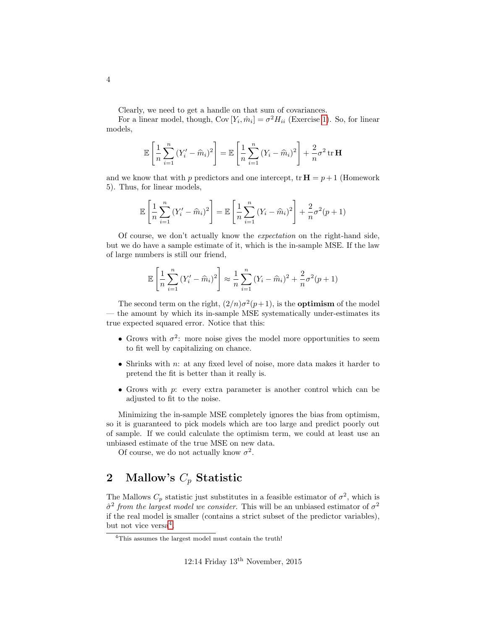Clearly, we need to get a handle on that sum of covariances.

For a linear model, though,  $Cov[Y_i, \hat{m}_i] = \sigma^2 H_{ii}$  (Exercise [1\)](#page-19-1). So, for linear models,

$$
\mathbb{E}\left[\frac{1}{n}\sum_{i=1}^{n}(Y_i'-\widehat{m}_i)^2\right] = \mathbb{E}\left[\frac{1}{n}\sum_{i=1}^{n}(Y_i-\widehat{m}_i)^2\right] + \frac{2}{n}\sigma^2 \operatorname{tr}\mathbf{H}
$$

and we know that with p predictors and one intercept, tr  $\mathbf{H} = p+1$  (Homework 5). Thus, for linear models,

$$
\mathbb{E}\left[\frac{1}{n}\sum_{i=1}^{n}(Y'_{i}-\widehat{m}_{i})^{2}\right] = \mathbb{E}\left[\frac{1}{n}\sum_{i=1}^{n}(Y_{i}-\widehat{m}_{i})^{2}\right] + \frac{2}{n}\sigma^{2}(p+1)
$$

Of course, we don't actually know the expectation on the right-hand side, but we do have a sample estimate of it, which is the in-sample MSE. If the law of large numbers is still our friend,

$$
\mathbb{E}\left[\frac{1}{n}\sum_{i=1}^{n}(Y_i'-\widehat{m}_i)^2\right] \approx \frac{1}{n}\sum_{i=1}^{n}(Y_i-\widehat{m}_i)^2 + \frac{2}{n}\sigma^2(p+1)
$$

The second term on the right,  $\left(\frac{2}{n}\right)\sigma^2(p+1)$ , is the **optimism** of the model — the amount by which its in-sample MSE systematically under-estimates its true expected squared error. Notice that this:

- Grows with  $\sigma^2$ : more noise gives the model more opportunities to seem to fit well by capitalizing on chance.
- Shrinks with n: at any fixed level of noise, more data makes it harder to pretend the fit is better than it really is.
- Grows with p: every extra parameter is another control which can be adjusted to fit to the noise.

Minimizing the in-sample MSE completely ignores the bias from optimism, so it is guaranteed to pick models which are too large and predict poorly out of sample. If we could calculate the optimism term, we could at least use an unbiased estimate of the true MSE on new data.

Of course, we do not actually know  $\sigma^2$ .

## <span id="page-3-0"></span>2 Mallow's  $C_p$  Statistic

The Mallows  $C_p$  statistic just substitutes in a feasible estimator of  $\sigma^2$ , which is  $\hat{\sigma}^2$  from the largest model we consider. This will be an unbiased estimator of  $\sigma^2$ if the real model is smaller (contains a strict subset of the predictor variables), but not vice versa<sup>[4](#page-3-1)</sup>.

<span id="page-3-1"></span><sup>&</sup>lt;sup>4</sup>This assumes the largest model must contain the truth!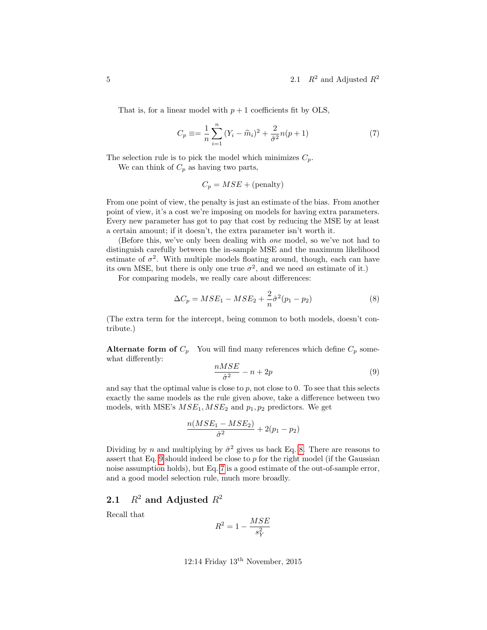That is, for a linear model with  $p + 1$  coefficients fit by OLS,

<span id="page-4-3"></span>
$$
C_p \equiv \frac{1}{n} \sum_{i=1}^{n} (Y_i - \widehat{m}_i)^2 + \frac{2}{\widehat{\sigma}^2} n(p+1)
$$
 (7)

The selection rule is to pick the model which minimizes  $C_p$ .

We can think of  $C_p$  as having two parts,

$$
C_p = MSE + (penalty)
$$

From one point of view, the penalty is just an estimate of the bias. From another point of view, it's a cost we're imposing on models for having extra parameters. Every new parameter has got to pay that cost by reducing the MSE by at least a certain amount; if it doesn't, the extra parameter isn't worth it.

(Before this, we've only been dealing with one model, so we've not had to distinguish carefully between the in-sample MSE and the maximum likelihood estimate of  $\sigma^2$ . With multiple models floating around, though, each can have its own MSE, but there is only one true  $\sigma^2$ , and we need an estimate of it.)

For comparing models, we really care about differences:

<span id="page-4-1"></span>
$$
\Delta C_p = MSE_1 - MSE_2 + \frac{2}{n}\hat{\sigma}^2(p_1 - p_2)
$$
\n(8)

(The extra term for the intercept, being common to both models, doesn't contribute.)

Alternate form of  $C_p$  You will find many references which define  $C_p$  somewhat differently:

<span id="page-4-2"></span>
$$
\frac{nMSE}{\hat{\sigma}^2} - n + 2p\tag{9}
$$

and say that the optimal value is close to  $p$ , not close to  $0$ . To see that this selects exactly the same models as the rule given above, take a difference between two models, with MSE's  $MSE_1, MSE_2$  and  $p_1, p_2$  predictors. We get

$$
\frac{n(MSE_1 - MSE_2)}{\hat{\sigma}^2} + 2(p_1 - p_2)
$$

Dividing by n and multiplying by  $\hat{\sigma}^2$  gives us back Eq. [8.](#page-4-1) There are reasons to assert that Eq. [9](#page-4-2) should indeed be close to  $p$  for the right model (if the Gaussian noise assumption holds), but Eq. [7](#page-4-3) is a good estimate of the out-of-sample error, and a good model selection rule, much more broadly.

### <span id="page-4-0"></span>2.1  $R^2$  and Adjusted  $R^2$

Recall that

$$
R^2 = 1 - \frac{MSE}{s_Y^2}
$$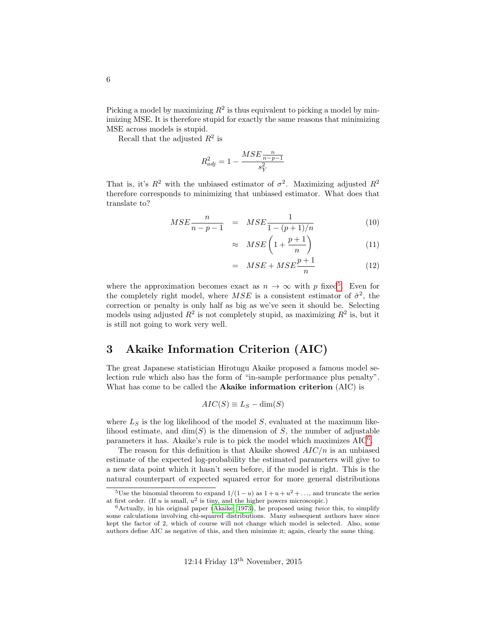Picking a model by maximizing  $R^2$  is thus equivalent to picking a model by minimizing MSE. It is therefore stupid for exactly the same reasons that minimizing MSE across models is stupid.

Recall that the adjusted  $R^2$  is

$$
R_{adj}^2 = 1 - \frac{MSE \frac{n}{n - p - 1}}{s_Y^2}
$$

That is, it's  $R^2$  with the unbiased estimator of  $\sigma^2$ . Maximizing adjusted  $R^2$ therefore corresponds to minimizing that unbiased estimator. What does that translate to?

$$
MSE \frac{n}{n - p - 1} = MSE \frac{1}{1 - (p + 1)/n}
$$
(10)

$$
\approx \quad MSE\left(1 + \frac{p+1}{n}\right) \tag{11}
$$

$$
= \quad MSE + MSE \frac{p+1}{n} \tag{12}
$$

where the approximation becomes exact as  $n \to \infty$  with p fixed<sup>[5](#page-5-1)</sup>. Even for the completely right model, where  $MSE$  is a consistent estimator of  $\hat{\sigma}^2$ , the correction or penalty is only half as big as we've seen it should be. Selecting models using adjusted  $R^2$  is not completely stupid, as maximizing  $R^2$  is, but it is still not going to work very well.

## <span id="page-5-0"></span>3 Akaike Information Criterion (AIC)

The great Japanese statistician Hirotugu Akaike proposed a famous model selection rule which also has the form of "in-sample performance plus penalty". What has come to be called the Akaike information criterion (AIC) is

$$
AIC(S) \equiv L_S - \dim(S)
$$

where  $L<sub>S</sub>$  is the log likelihood of the model S, evaluated at the maximum likelihood estimate, and  $\dim(S)$  is the dimension of S, the number of adjustable parameters it has. Akaike's rule is to pick the model which maximizes AIC<sup>[6](#page-5-2)</sup>.

The reason for this definition is that Akaike showed  $AIC/n$  is an unbiased estimate of the expected log-probability the estimated parameters will give to a new data point which it hasn't seen before, if the model is right. This is the natural counterpart of expected squared error for more general distributions

<span id="page-5-1"></span><sup>&</sup>lt;sup>5</sup>Use the binomial theorem to expand  $1/(1-u)$  as  $1+u+u^2+\ldots$ , and truncate the series at first order. (If u is small,  $u^2$  is tiny, and the higher powers microscopic.)

<span id="page-5-2"></span> $6$ Actually, in his original paper [\(Akaike, 1973\)](#page-19-2), he proposed using *twice* this, to simplify some calculations involving chi-squared distributions. Many subsequent authors have since kept the factor of 2, which of course will not change which model is selected. Also, some authors define AIC as negative of this, and then minimize it; again, clearly the same thing.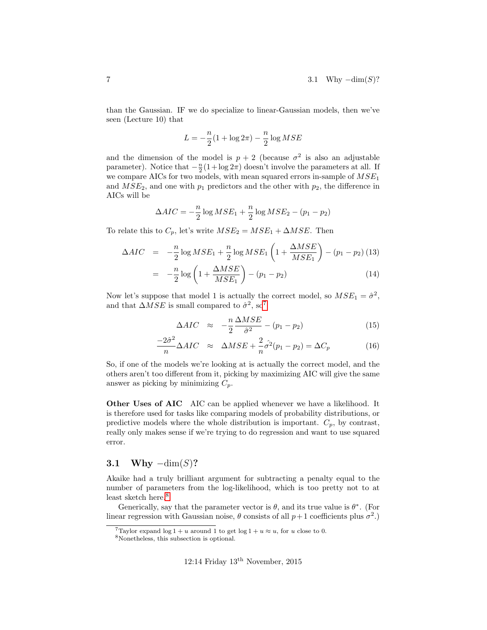than the Gaussian. IF we do specialize to linear-Gaussian models, then we've seen (Lecture 10) that

$$
L = -\frac{n}{2}(1 + \log 2\pi) - \frac{n}{2}\log MSE
$$

and the dimension of the model is  $p + 2$  (because  $\sigma^2$  is also an adjustable parameter). Notice that  $-\frac{n}{2}(1+\log 2\pi)$  doesn't involve the parameters at all. If we compare AICs for two models, with mean squared errors in-sample of  $MSE<sub>1</sub>$ and  $MSE_2$ , and one with  $p_1$  predictors and the other with  $p_2$ , the difference in AICs will be

$$
\Delta AIC = -\frac{n}{2} \log MSE_1 + \frac{n}{2} \log MSE_2 - (p_1 - p_2)
$$

To relate this to  $C_p$ , let's write  $MSE_2 = MSE_1 + \Delta MSE$ . Then

$$
\Delta AIC = -\frac{n}{2} \log MSE_1 + \frac{n}{2} \log MSE_1 \left( 1 + \frac{\Delta MSE}{MSE_1} \right) - (p_1 - p_2) \tag{13}
$$
\n
$$
= -\frac{n}{2} \log \left( 1 + \frac{\Delta MSE}{MSE_1} \right) - (p_1 - p_2) \tag{14}
$$

$$
= -\frac{n}{2}\log\left(1 + \frac{\Delta MSE}{MSE_1}\right) - (p_1 - p_2) \tag{14}
$$

Now let's suppose that model 1 is actually the correct model, so  $MSE_1 = \hat{\sigma}^2$ , and that  $\Delta MSE$  is small compared to  $\hat{\sigma}^2$ , so<sup>[7](#page-6-1)</sup>

$$
\Delta AIC \approx -\frac{n}{2} \frac{\Delta MSE}{\hat{\sigma}^2} - (p_1 - p_2) \tag{15}
$$

$$
\frac{-2\hat{\sigma}^2}{n}\Delta AIC \approx \Delta MSE + \frac{2}{n}\hat{\sigma^2}(p_1 - p_2) = \Delta C_p \tag{16}
$$

So, if one of the models we're looking at is actually the correct model, and the others aren't too different from it, picking by maximizing AIC will give the same answer as picking by minimizing  $C_p$ .

Other Uses of AIC AIC can be applied whenever we have a likelihood. It is therefore used for tasks like comparing models of probability distributions, or predictive models where the whole distribution is important.  $C_p$ , by contrast, really only makes sense if we're trying to do regression and want to use squared error.

#### <span id="page-6-0"></span>3.1 Why  $-\dim(S)$ ?

Akaike had a truly brilliant argument for subtracting a penalty equal to the number of parameters from the log-likelihood, which is too pretty not to at least sketch here.<sup>[8](#page-6-2)</sup>

Generically, say that the parameter vector is  $\theta$ , and its true value is  $\theta^*$ . (For linear regression with Gaussian noise,  $\theta$  consists of all  $p+1$  coefficients plus  $\sigma^2$ .)

<span id="page-6-1"></span> $\overline{7}$ Taylor expand log 1 + u around 1 to get log 1 + u  $\approx u$ , for u close to 0.

<span id="page-6-2"></span><sup>8</sup>Nonetheless, this subsection is optional.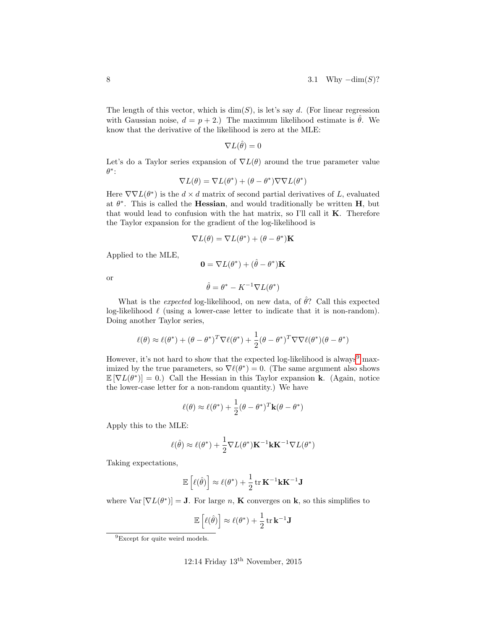The length of this vector, which is  $dim(S)$ , is let's say d. (For linear regression with Gaussian noise,  $d = p + 2$ .) The maximum likelihood estimate is  $\hat{\theta}$ . We know that the derivative of the likelihood is zero at the MLE:

$$
\nabla L(\hat{\theta}) = 0
$$

Let's do a Taylor series expansion of  $\nabla L(\theta)$  around the true parameter value  $\theta^*$ :

$$
\nabla L(\theta) = \nabla L(\theta^*) + (\theta - \theta^*) \nabla \nabla L(\theta^*)
$$

Here  $\nabla \nabla L(\theta^*)$  is the  $d \times d$  matrix of second partial derivatives of L, evaluated at  $\theta^*$ . This is called the **Hessian**, and would traditionally be written **H**, but that would lead to confusion with the hat matrix, so I'll call it  $K$ . Therefore the Taylor expansion for the gradient of the log-likelihood is

$$
\nabla L(\theta) = \nabla L(\theta^*) + (\theta - \theta^*)\mathbf{K}
$$

Applied to the MLE,

$$
\mathbf{0} = \nabla L(\theta^*) + (\hat{\theta} - \theta^*)\mathbf{K}
$$

or

$$
\hat{\theta} = \theta^* - K^{-1} \nabla L(\theta^*)
$$

What is the *expected* log-likelihood, on new data, of  $\hat{\theta}$ ? Call this expected log-likelihood  $\ell$  (using a lower-case letter to indicate that it is non-random). Doing another Taylor series,

$$
\ell(\theta) \approx \ell(\theta^*) + (\theta - \theta^*)^T \nabla \ell(\theta^*) + \frac{1}{2} (\theta - \theta^*)^T \nabla \nabla \ell(\theta^*) (\theta - \theta^*)
$$

However, it's not hard to show that the expected log-likelihood is always<sup>[9](#page-7-0)</sup> maximized by the true parameters, so  $\nabla \ell(\theta^*) = 0$ . (The same argument also shows  $\mathbb{E}[\nabla L(\theta^*)] = 0.$  Call the Hessian in this Taylor expansion **k**. (Again, notice the lower-case letter for a non-random quantity.) We have

$$
\ell(\theta) \approx \ell(\theta^*) + \frac{1}{2}(\theta - \theta^*)^T \mathbf{k}(\theta - \theta^*)
$$

Apply this to the MLE:

$$
\ell(\hat{\theta}) \approx \ell(\theta^*) + \frac{1}{2} \nabla L(\theta^*) \mathbf{K}^{-1} \mathbf{k} \mathbf{K}^{-1} \nabla L(\theta^*)
$$

Taking expectations,

$$
\mathbb{E}\left[\ell(\hat{\theta})\right] \approx \ell(\theta^*) + \frac{1}{2} \operatorname{tr} \mathbf{K}^{-1} \mathbf{k} \mathbf{K}^{-1} \mathbf{J}
$$

where  $\text{Var}[\nabla L(\theta^*)] = \mathbf{J}$ . For large n, **K** converges on **k**, so this simplifies to

$$
\mathbb{E}\left[\ell(\hat{\theta})\right] \approx \ell(\theta^*) + \frac{1}{2} \operatorname{tr} \mathbf{k}^{-1} \mathbf{J}
$$

<span id="page-7-0"></span><sup>9</sup>Except for quite weird models.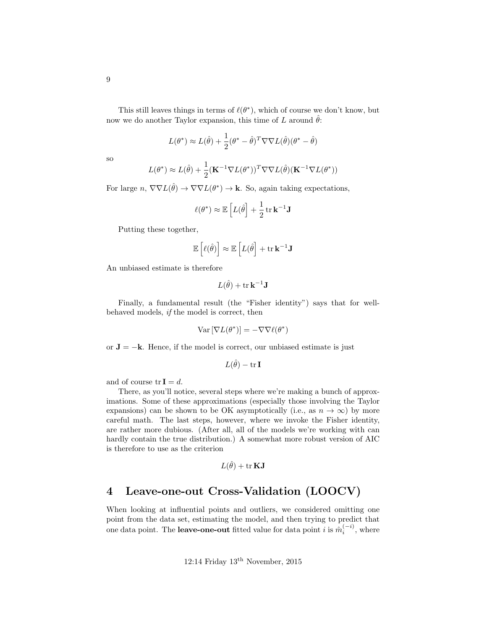This still leaves things in terms of  $\ell(\theta^*)$ , which of course we don't know, but now we do another Taylor expansion, this time of L around  $\hat{\theta}$ :

$$
L(\theta^*) \approx L(\hat{\theta}) + \frac{1}{2}(\theta^* - \hat{\theta})^T \nabla \nabla L(\hat{\theta})(\theta^* - \hat{\theta})
$$

so

$$
L(\theta^*) \approx L(\hat{\theta}) + \frac{1}{2} (\mathbf{K}^{-1} \nabla L(\theta^*))^T \nabla \nabla L(\hat{\theta}) (\mathbf{K}^{-1} \nabla L(\theta^*))
$$

For large  $n, \nabla \nabla L(\hat{\theta}) \to \nabla \nabla L(\theta^*) \to \mathbf{k}$ . So, again taking expectations,

$$
\ell(\theta^*) \approx \mathbb{E}\left[L(\hat{\theta}\right] + \frac{1}{2}\operatorname{tr}\mathbf{k}^{-1}\mathbf{J}
$$

Putting these together,

$$
\mathbb{E}\left[\ell(\hat{\theta})\right] \approx \mathbb{E}\left[L(\hat{\theta}\right] + \text{tr}\,\mathbf{k}^{-1}\mathbf{J}
$$

An unbiased estimate is therefore

$$
L(\hat{\theta}) + \text{tr}\,\mathbf{k}^{-1}\mathbf{J}
$$

Finally, a fundamental result (the "Fisher identity") says that for wellbehaved models, if the model is correct, then

$$
\text{Var}\left[\nabla L(\theta^*)\right] = -\nabla \nabla \ell(\theta^*)
$$

or  $J = -k$ . Hence, if the model is correct, our unbiased estimate is just

$$
L(\hat{\theta}) - \mathop{\rm tr}\nolimits \mathbf{I}
$$

and of course  $tr I = d$ .

There, as you'll notice, several steps where we're making a bunch of approximations. Some of these approximations (especially those involving the Taylor expansions) can be shown to be OK asymptotically (i.e., as  $n \to \infty$ ) by more careful math. The last steps, however, where we invoke the Fisher identity, are rather more dubious. (After all, all of the models we're working with can hardly contain the true distribution.) A somewhat more robust version of AIC is therefore to use as the criterion

$$
L(\hat{\theta}) + \mathop{\rm tr}\nolimits \mathbf{K}\mathbf{J}
$$

## <span id="page-8-0"></span>4 Leave-one-out Cross-Validation (LOOCV)

When looking at influential points and outliers, we considered omitting one point from the data set, estimating the model, and then trying to predict that one data point. The **leave-one-out** fitted value for data point *i* is  $\hat{m}_i^{(-i)}$ , where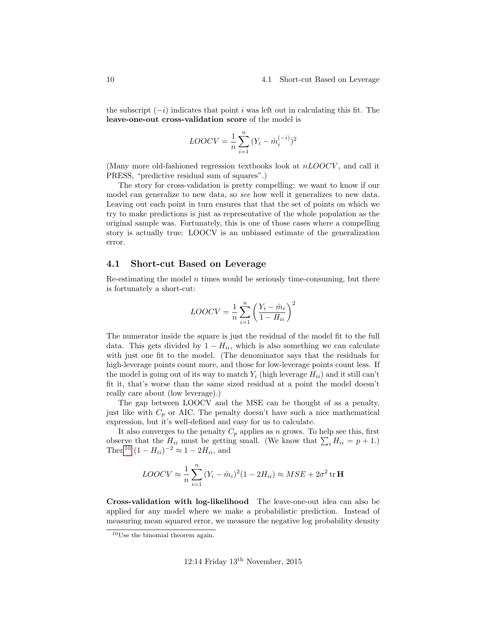#### 10 4.1 Short-cut Based on Leverage

the subscript  $(-i)$  indicates that point i was left out in calculating this fit. The leave-one-out cross-validation score of the model is

$$
LOOCV = \frac{1}{n} \sum_{i=1}^{n} (Y_i - \hat{m}_i^{(-i)})^2
$$

(Many more old-fashioned regression textbooks look at  $nLOOCV$ , and call it PRESS, "predictive residual sum of squares".)

The story for cross-validation is pretty compelling: we want to know if our model can generalize to new data, so see how well it generalizes to new data. Leaving out each point in turn ensures that that the set of points on which we try to make predictions is just as representative of the whole population as the original sample was. Fortunately, this is one of those cases where a compelling story is actually true: LOOCV is an unbiased estimate of the generalization error.

#### <span id="page-9-0"></span>4.1 Short-cut Based on Leverage

Re-estimating the model  $n$  times would be seriously time-consuming, but there is fortunately a short-cut:

$$
LOOCV = \frac{1}{n} \sum_{i=1}^{n} \left( \frac{Y_i - \hat{m}_i}{1 - H_{ii}} \right)^2
$$

The numerator inside the square is just the residual of the model fit to the full data. This gets divided by  $1 - H_{ii}$ , which is also something we can calculate with just one fit to the model. (The denominator says that the residuals for high-leverage points count more, and those for low-leverage points count less. If the model is going out of its way to match  $Y_i$  (high leverage  $H_{ii}$ ) and it still can't fit it, that's worse than the same sized residual at a point the model doesn't really care about (low leverage).)

The gap between LOOCV and the MSE can be thought of as a penalty, just like with  $C_p$  or AIC. The penalty doesn't have such a nice mathematical expression, but it's well-defined and easy for us to calculate.

It also converges to the penalty  $C_p$  applies as n grows. To help see this, first observe that the  $H_{ii}$  must be getting small. (We know that  $\sum_i H_{ii} = p + 1$ .) Then<sup>[10](#page-9-1)</sup>  $(1 - H_{ii})^{-2} \approx 1 - 2H_{ii}$ , and

$$
LOOCV \approx \frac{1}{n} \sum_{i=1}^{n} (Y_i - \hat{m}_i)^2 (1 - 2H_{ii}) \approx MSE + 2\sigma^2 \operatorname{tr} \mathbf{H}
$$

Cross-validation with log-likelihood The leave-one-out idea can also be applied for any model where we make a probabilistic prediction. Instead of measuring mean squared error, we measure the negative log probability density

<span id="page-9-1"></span><sup>10</sup>Use the binomial theorem again.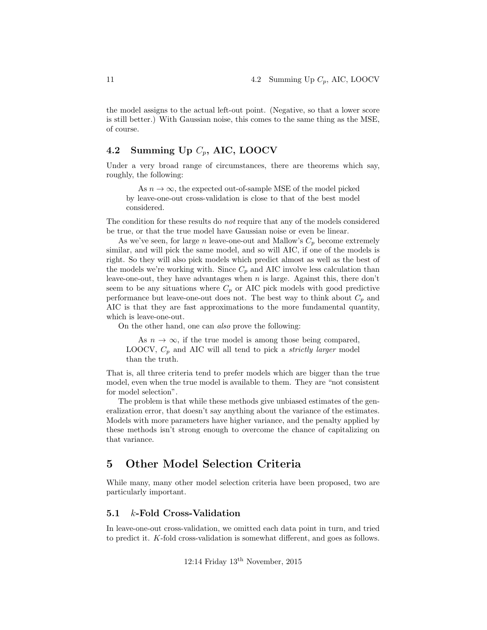the model assigns to the actual left-out point. (Negative, so that a lower score is still better.) With Gaussian noise, this comes to the same thing as the MSE, of course.

#### <span id="page-10-0"></span>4.2 Summing Up  $C_p$ , AIC, LOOCV

Under a very broad range of circumstances, there are theorems which say, roughly, the following:

As  $n \to \infty$ , the expected out-of-sample MSE of the model picked by leave-one-out cross-validation is close to that of the best model considered.

The condition for these results do not require that any of the models considered be true, or that the true model have Gaussian noise or even be linear.

As we've seen, for large n leave-one-out and Mallow's  $C_p$  become extremely similar, and will pick the same model, and so will AIC, if one of the models is right. So they will also pick models which predict almost as well as the best of the models we're working with. Since  $C_p$  and AIC involve less calculation than leave-one-out, they have advantages when  $n$  is large. Against this, there don't seem to be any situations where  $C_p$  or AIC pick models with good predictive performance but leave-one-out does not. The best way to think about  $C_p$  and AIC is that they are fast approximations to the more fundamental quantity, which is leave-one-out.

On the other hand, one can also prove the following:

As  $n \to \infty$ , if the true model is among those being compared, LOOCV,  $C_p$  and AIC will all tend to pick a *strictly larger* model than the truth.

That is, all three criteria tend to prefer models which are bigger than the true model, even when the true model is available to them. They are "not consistent for model selection".

The problem is that while these methods give unbiased estimates of the generalization error, that doesn't say anything about the variance of the estimates. Models with more parameters have higher variance, and the penalty applied by these methods isn't strong enough to overcome the chance of capitalizing on that variance.

### <span id="page-10-1"></span>5 Other Model Selection Criteria

While many, many other model selection criteria have been proposed, two are particularly important.

#### <span id="page-10-2"></span>5.1 k-Fold Cross-Validation

In leave-one-out cross-validation, we omitted each data point in turn, and tried to predict it. K-fold cross-validation is somewhat different, and goes as follows.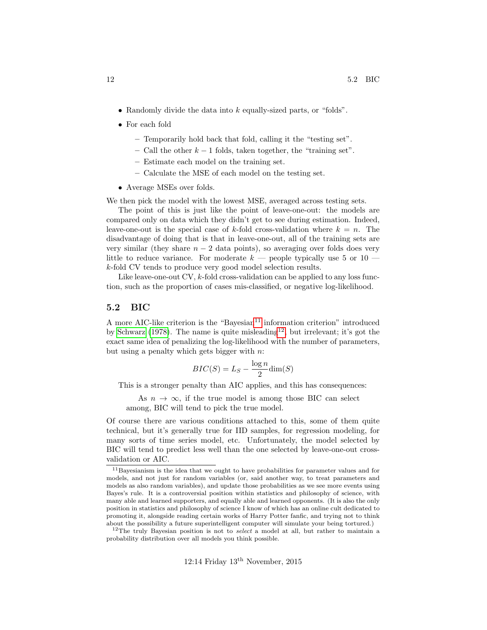- Randomly divide the data into  $k$  equally-sized parts, or "folds".
- For each fold
	- Temporarily hold back that fold, calling it the "testing set".
	- Call the other  $k-1$  folds, taken together, the "training set".
	- Estimate each model on the training set.
	- Calculate the MSE of each model on the testing set.
- Average MSEs over folds.

We then pick the model with the lowest MSE, averaged across testing sets.

The point of this is just like the point of leave-one-out: the models are compared only on data which they didn't get to see during estimation. Indeed, leave-one-out is the special case of k-fold cross-validation where  $k = n$ . The disadvantage of doing that is that in leave-one-out, all of the training sets are very similar (they share  $n - 2$  data points), so averaging over folds does very little to reduce variance. For moderate  $k$  — people typically use 5 or 10 k-fold CV tends to produce very good model selection results.

Like leave-one-out CV, k-fold cross-validation can be applied to any loss function, such as the proportion of cases mis-classified, or negative log-likelihood.

#### <span id="page-11-0"></span>5.2 BIC

A more AIC-like criterion is the "Bayesian<sup>[11](#page-11-1)</sup> information criterion" introduced by [Schwarz](#page-20-0) [\(1978\)](#page-20-0). The name is quite misleading<sup>[12](#page-11-2)</sup>, but irrelevant; it's got the exact same idea of penalizing the log-likelihood with the number of parameters, but using a penalty which gets bigger with  $n$ .

$$
BIC(S) = L_S - \frac{\log n}{2} \dim(S)
$$

This is a stronger penalty than AIC applies, and this has consequences:

As  $n \to \infty$ , if the true model is among those BIC can select among, BIC will tend to pick the true model.

Of course there are various conditions attached to this, some of them quite technical, but it's generally true for IID samples, for regression modeling, for many sorts of time series model, etc. Unfortunately, the model selected by BIC will tend to predict less well than the one selected by leave-one-out crossvalidation or AIC.

<span id="page-11-1"></span><sup>11</sup>Bayesianism is the idea that we ought to have probabilities for parameter values and for models, and not just for random variables (or, said another way, to treat parameters and models as also random variables), and update those probabilities as we see more events using Bayes's rule. It is a controversial position within statistics and philosophy of science, with many able and learned supporters, and equally able and learned opponents. (It is also the only position in statistics and philosophy of science I know of which has an online cult dedicated to promoting it, alongside reading certain works of Harry Potter fanfic, and trying not to think about the possibility a future superintelligent computer will simulate your being tortured.)

<span id="page-11-2"></span> $12$ The truly Bayesian position is not to *select* a model at all, but rather to maintain a probability distribution over all models you think possible.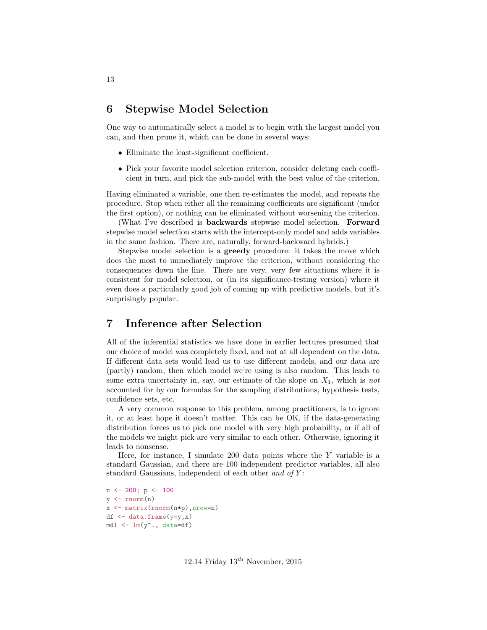#### <span id="page-12-0"></span>6 Stepwise Model Selection

One way to automatically select a model is to begin with the largest model you can, and then prune it, which can be done in several ways:

- Eliminate the least-significant coefficient.
- Pick your favorite model selection criterion, consider deleting each coefficient in turn, and pick the sub-model with the best value of the criterion.

Having eliminated a variable, one then re-estimates the model, and repeats the procedure. Stop when either all the remaining coefficients are significant (under the first option), or nothing can be eliminated without worsening the criterion.

(What I've described is **backwards** stepwise model selection. Forward stepwise model selection starts with the intercept-only model and adds variables in the same fashion. There are, naturally, forward-backward hybrids.)

Stepwise model selection is a greedy procedure: it takes the move which does the most to immediately improve the criterion, without considering the consequences down the line. There are very, very few situations where it is consistent for model selection, or (in its significance-testing version) where it even does a particularly good job of coming up with predictive models, but it's surprisingly popular.

## <span id="page-12-1"></span>7 Inference after Selection

All of the inferential statistics we have done in earlier lectures presumed that our choice of model was completely fixed, and not at all dependent on the data. If different data sets would lead us to use different models, and our data are (partly) random, then which model we're using is also random. This leads to some extra uncertainty in, say, our estimate of the slope on  $X_1$ , which is not accounted for by our formulas for the sampling distributions, hypothesis tests, confidence sets, etc.

A very common response to this problem, among practitioners, is to ignore it, or at least hope it doesn't matter. This can be OK, if the data-generating distribution forces us to pick one model with very high probability, or if all of the models we might pick are very similar to each other. Otherwise, ignoring it leads to nonsense.

Here, for instance, I simulate 200 data points where the Y variable is a standard Gaussian, and there are 100 independent predictor variables, all also standard Gaussians, independent of each other and of  $Y$ :

```
n <- 200; p <- 100
y \leftarrow \text{rnorm}(n)x <- matrix(rnorm(n*p),nrow=n)
df \leftarrow data.frame(y=y,x)
mdl <- lm(y~., data=df)
```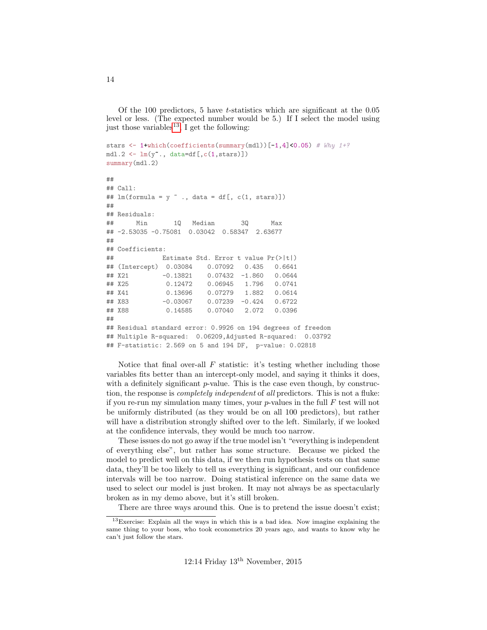Of the 100 predictors, 5 have t-statistics which are significant at the  $0.05$ level or less. (The expected number would be 5.) If I select the model using just those variables<sup>[13](#page-13-0)</sup>, I get the following:

```
stars \leftarrow 1+which(coefficients(summary(mdl))[-1,4]<0.05) # Why 1+?
mdl.2 \leftarrow lm(y^*., data=df[,c(1,stars)])
summary(mdl.2)
##
## Call:
## lm(formula = y \sim ., data = df[, c(1, stars)])
##
## Residuals:
## Min 1Q Median 3Q Max
## -2.53035 -0.75081 0.03042 0.58347 2.63677
##
## Coefficients:
## Estimate Std. Error t value Pr(>|t|)
## (Intercept) 0.03084 0.07092 0.435 0.6641
## X21 -0.13821 0.07432 -1.860 0.0644
## X25 0.12472 0.06945 1.796 0.0741
## X41 0.13696 0.07279 1.882 0.0614
## X83 -0.03067 0.07239 -0.424 0.6722
## X88 0.14585 0.07040 2.072 0.0396
##
## Residual standard error: 0.9926 on 194 degrees of freedom
## Multiple R-squared: 0.06209,Adjusted R-squared: 0.03792
## F-statistic: 2.569 on 5 and 194 DF, p-value: 0.02818
```
Notice that final over-all  $F$  statistic: it's testing whether including those variables fits better than an intercept-only model, and saying it thinks it does, with a definitely significant  $p$ -value. This is the case even though, by construction, the response is completely independent of all predictors. This is not a fluke: if you re-run my simulation many times, your  $p$ -values in the full F test will not be uniformly distributed (as they would be on all 100 predictors), but rather will have a distribution strongly shifted over to the left. Similarly, if we looked at the confidence intervals, they would be much too narrow.

These issues do not go away if the true model isn't "everything is independent of everything else", but rather has some structure. Because we picked the model to predict well on this data, if we then run hypothesis tests on that same data, they'll be too likely to tell us everything is significant, and our confidence intervals will be too narrow. Doing statistical inference on the same data we used to select our model is just broken. It may not always be as spectacularly broken as in my demo above, but it's still broken.

<span id="page-13-0"></span>There are three ways around this. One is to pretend the issue doesn't exist;

<sup>13</sup>Exercise: Explain all the ways in which this is a bad idea. Now imagine explaining the same thing to your boss, who took econometrics 20 years ago, and wants to know why he can't just follow the stars.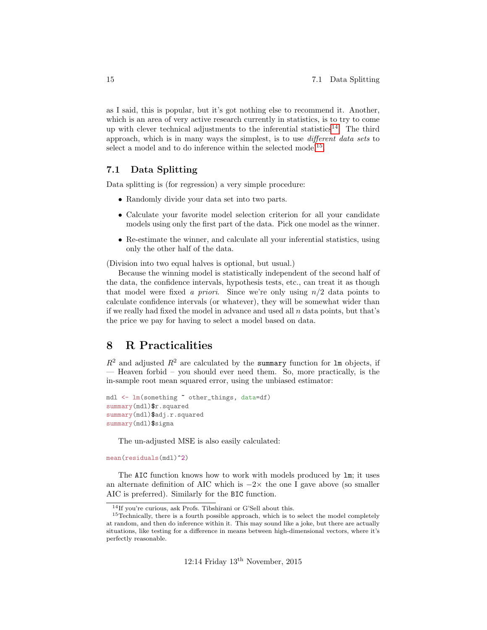as I said, this is popular, but it's got nothing else to recommend it. Another, which is an area of very active research currently in statistics, is to try to come up with clever technical adjustments to the inferential statistics<sup>[14](#page-14-2)</sup>. The third approach, which is in many ways the simplest, is to use different data sets to select a model and to do inference within the selected model<sup>[15](#page-14-3)</sup>.

#### <span id="page-14-0"></span>7.1 Data Splitting

Data splitting is (for regression) a very simple procedure:

- Randomly divide your data set into two parts.
- Calculate your favorite model selection criterion for all your candidate models using only the first part of the data. Pick one model as the winner.
- Re-estimate the winner, and calculate all your inferential statistics, using only the other half of the data.

(Division into two equal halves is optional, but usual.)

Because the winning model is statistically independent of the second half of the data, the confidence intervals, hypothesis tests, etc., can treat it as though that model were fixed a priori. Since we're only using  $n/2$  data points to calculate confidence intervals (or whatever), they will be somewhat wider than if we really had fixed the model in advance and used all  $n$  data points, but that's the price we pay for having to select a model based on data.

### <span id="page-14-1"></span>8 R Practicalities

 $R^2$  and adjusted  $R^2$  are calculated by the summary function for lm objects, if — Heaven forbid – you should ever need them. So, more practically, is the in-sample root mean squared error, using the unbiased estimator:

```
mdl <- lm(something ~ other_things, data=df)
summary(mdl)$r.squared
summary(mdl)$adj.r.squared
summary(mdl)$sigma
```
The un-adjusted MSE is also easily calculated:

mean(residuals(mdl)^2)

The AIC function knows how to work with models produced by lm; it uses an alternate definition of AIC which is  $-2\times$  the one I gave above (so smaller AIC is preferred). Similarly for the BIC function.

<span id="page-14-3"></span><span id="page-14-2"></span> $^{14}{\rm If}$ you're curious, ask Profs. Tibshirani or G'Sell about this.

<sup>&</sup>lt;sup>15</sup>Technically, there is a fourth possible approach, which is to select the model completely at random, and then do inference within it. This may sound like a joke, but there are actually situations, like testing for a difference in means between high-dimensional vectors, where it's perfectly reasonable.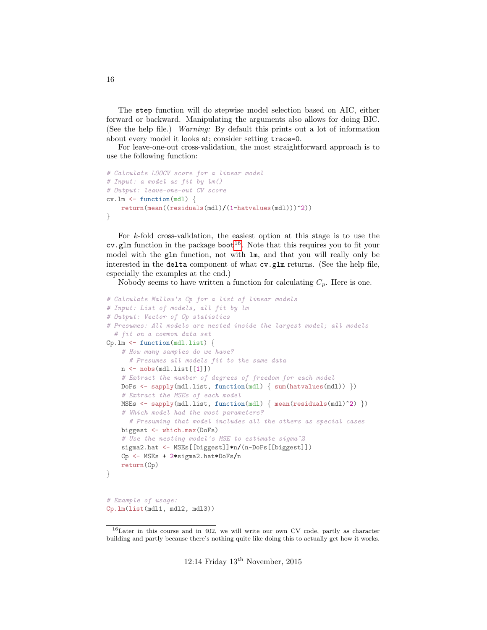The step function will do stepwise model selection based on AIC, either forward or backward. Manipulating the arguments also allows for doing BIC. (See the help file.) Warning: By default this prints out a lot of information about every model it looks at; consider setting trace=0.

For leave-one-out cross-validation, the most straightforward approach is to use the following function:

```
# Calculate LOOCV score for a linear model
# Input: a model as fit by lm()
# Output: leave-one-out CV score
cv.\text{lm} \leftarrow function(md1)return(mean((residuals(mdl)/(1-hatvalues(mdl)))^2))
}
```
For k-fold cross-validation, the easiest option at this stage is to use the  $cv$ .glm function in the package boot<sup>[16](#page-15-0)</sup>. Note that this requires you to fit your model with the glm function, not with lm, and that you will really only be interested in the delta component of what cv.glm returns. (See the help file, especially the examples at the end.)

Nobody seems to have written a function for calculating  $C_p$ . Here is one.

```
# Calculate Mallow's Cp for a list of linear models
# Input: List of models, all fit by lm
# Output: Vector of Cp statistics
# Presumes: All models are nested inside the largest model; all models
  # fit on a common data set
Cp.lm \leftarrow function(mdl.list) {
    # How many samples do we have?
      # Presumes all models fit to the same data
    n \leftarrow nobs(mdl.list[[1]])# Extract the number of degrees of freedom for each model
    DoFs <- sapply(mdl.list, function(mdl) { sum(hatvalues(mdl)) })
    # Extract the MSEs of each model
    MSEs <- sapply(mdl.list, function(mdl) { mean(residuals(mdl)^2) })
    # Which model had the most parameters?
      # Presuming that model includes all the others as special cases
    biggest <- which.max(DoFs)
    # Use the nesting model's MSE to estimate sigma<sup>2</sup>
    sigma2.hat <- MSEs[[biggest]]*n/(n-DoFs[[biggest]])
    Cp <- MSEs + 2*sigma2.hat*DoFs/n
    return(Cp)
}
# Example of usage:
Cp.lm(list(mdl1, mdl2, mdl3))
```
<span id="page-15-0"></span><sup>16</sup>Later in this course and in 402, we will write our own CV code, partly as character building and partly because there's nothing quite like doing this to actually get how it works.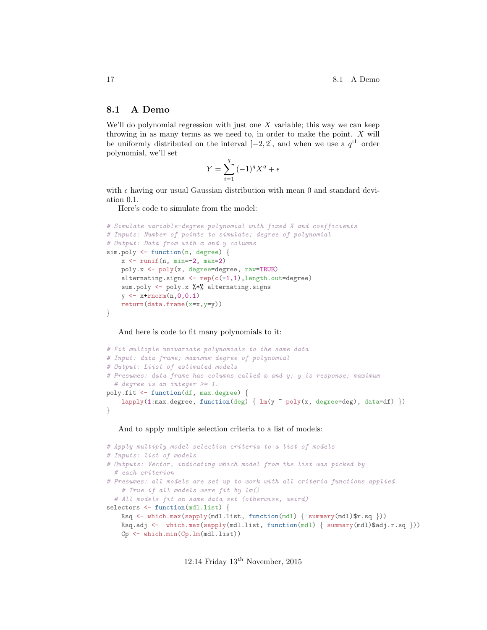#### <span id="page-16-0"></span>8.1 A Demo

We'll do polynomial regression with just one  $X$  variable; this way we can keep throwing in as many terms as we need to, in order to make the point. X will be uniformly distributed on the interval  $[-2, 2]$ , and when we use a  $q<sup>th</sup>$  order polynomial, we'll set

$$
Y = \sum_{i=1}^{q} (-1)^{q} X^{q} + \epsilon
$$

with  $\epsilon$  having our usual Gaussian distribution with mean 0 and standard deviation 0.1.

Here's code to simulate from the model:

```
# Simulate variable-degree polynomial with fixed X and coefficients
# Inputs: Number of points to simulate; degree of polynomial
# Output: Data from with x and y columns
sim.poly <- function(n, degree) {
    x \leftarrow runif(n, min=-2, max=2)poly.x <- poly(x, degree=degree, raw=TRUE)
    alternating.signs \leq rep(c(-1,1), length.out=degree)
    sum.poly <- poly.x %*% alternating.signs
    y \leftarrow x + \text{rnorm}(n, 0, 0.1)return(data-frame(x=x,y=y))}
```
And here is code to fit many polynomials to it:

```
# Fit multiple univariate polynomials to the same data
# Input: data frame; maximum degree of polynomial
# Output: Liist of estimated models
# Presumes: data frame has columns called x and y; y is response; maximum
  # degree is an integer >= 1.
poly.fit <- function(df, max.degree) {
    lapply(1:max.degree, function(deg) { lm(y \text{ o}oly(x, degree=deg), data=df) })
}
```
And to apply multiple selection criteria to a list of models:

```
# Apply multiply model selection criteria to a list of models
# Inputs: list of models
# Outputs: Vector, indicating which model from the list was picked by
  # each criterion
# Presumes: all models are set up to work with all criteria functions applied
    # True if all models were fit by lm()
  # All models fit on same data set (otherwise, weird)
selectors <- function(mdl.list) {
    Rsq \leftarrow \text{which.max}( \text{supply}(\text{mdl.list, function}(\text{mdl}) \{ \text{summary}(\text{mdl}) \r.sq \}))
    Rsq.adj <- which.max(sapply(mdl.list, function(mdl) { summary(mdl)$adj.r.sq }))
    Cp <- which.min(Cp.lm(mdl.list))
```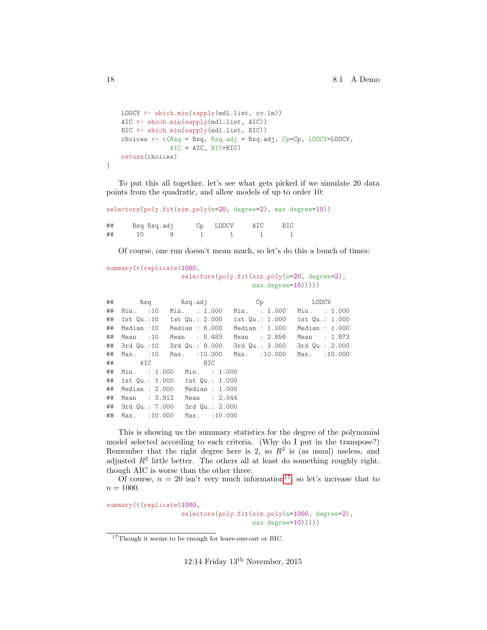```
LOOCV <- which.min(sapply(mdl.list, cv.lm))
    AIC <- which.min(sapply(mdl.list, AIC))
    BIC <- which.min(sapply(mdl.list, BIC))
    choices <- c(Rsq = Rsq, Rsq.adj = Rsq.adj, Cp=Cp, LOOCV=LOOCV,
                 AIC = AIC, BIC=BIC)
   return(choices)
}
```
To put this all together, let's see what gets picked if we simulate 20 data points from the quadratic, and allow models of up to order 10:

```
selectors(poly.fit(sim.poly(n=20, degree=2), max.degree=10))
```

| ## | Rsq Rsq.adj | Cp LOOCV | AIC | BIC |
|----|-------------|----------|-----|-----|
| ## | <u>g</u>    |          |     |     |

Of course, one run doesn't mean much, so let's do this a bunch of times:

```
summary(t(replicate(1000,
                    selectors(poly.fit(sim.poly(n=20, degree=2),
                                      max.degree=10)))))
```

|    |                | ## Rsq Rsq.adj                                             |                |                | Cp LOOCV |                  |  |
|----|----------------|------------------------------------------------------------|----------------|----------------|----------|------------------|--|
| ## |                | Min. : 10 Min. : 1.000 Min. : 1.000 Min. : 1.000           |                |                |          |                  |  |
|    |                | ## 1st Qu.:10 1st Qu.: 2.000 1st Qu.: 1.000 1st Qu.: 1.000 |                |                |          |                  |  |
| ## |                | Median :10 Median : 6.000                                  |                | Median : 1.000 |          | Median $: 1.000$ |  |
| ## |                | Mean :10 Mean : 5.483                                      |                | Mean : 2.656   |          | Mean : 1.873     |  |
|    |                | ## 3rd Qu.:10 3rd Qu.: 9.000 3rd Qu.: 3.000 3rd Qu.: 2.000 |                |                |          |                  |  |
|    |                | ## Max. :10 Max. :10.000 Max. :10.000 Max. :10.000         |                |                |          |                  |  |
|    |                | ## AIC BIC                                                 |                |                |          |                  |  |
| ## |                | Min. : 1.000 Min. : 1.000                                  |                |                |          |                  |  |
|    |                | ## 1st Qu.: 1.000 1st Qu.: 1.000                           |                |                |          |                  |  |
| ## | Median : 2.000 |                                                            | Median : 1.000 |                |          |                  |  |
| ## | Mean : 3.912   |                                                            | Mean : 2.044   |                |          |                  |  |
|    |                | ## 3rd Qu.: 7.000 3rd Qu.: 2.000                           |                |                |          |                  |  |
| ## | Max. : 10.000  |                                                            | Max. : 10.000  |                |          |                  |  |

This is showing us the summary statistics for the degree of the polynomial model selected according to each criteria. (Why do I put in the transpose?) Remember that the right degree here is 2, so  $R^2$  is (as usual) useless, and adjusted  $R^2$  little better. The others all at least do something roughly right, though AIC is worse than the other three.

Of course,  $n = 20$  isn't very much information<sup>[17](#page-17-0)</sup>, so let's increase that to  $n = 1000$ .

summary(t(replicate(1000, selectors(poly.fit(sim.poly(n=1000, degree=2), max.degree=10)))))

<span id="page-17-0"></span><sup>17</sup>Though it seems to be enough for leave-one-out or BIC.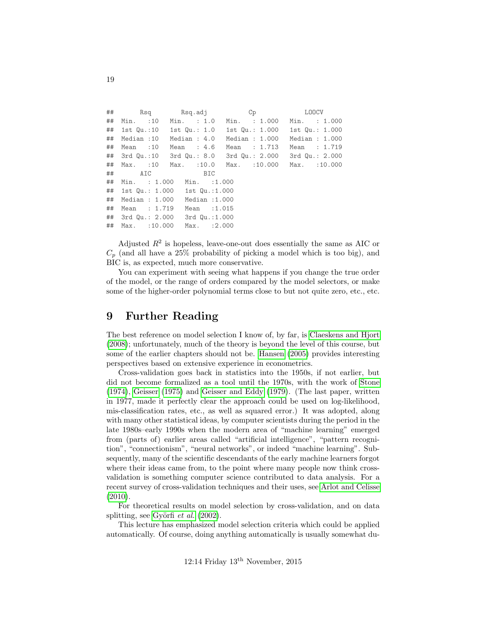```
## Rsq Rsq.adj Cp LOOCV
## Min. :10 Min. : 1.0 Min. : 1.000 Min. : 1.000
## 1st Qu.:10 1st Qu.: 1.0 1st Qu.: 1.000 1st Qu.: 1.000
## Median :10 Median : 4.0 Median : 1.000 Median : 1.000
## Mean :10 Mean : 4.6 Mean : 1.713 Mean : 1.719
## 3rd Qu.:10 3rd Qu.: 8.0 3rd Qu.: 2.000 3rd Qu.: 2.000
## Max. :10 Max. :10.0 Max. :10.000 Max. :10.000
## AIC BIC
## Min. : 1.000 Min. :1.000
## 1st Qu.: 1.000 1st Qu.:1.000
## Median : 1.000 Median :1.000
## Mean : 1.719 Mean :1.015
## 3rd Qu.: 2.000 3rd Qu.:1.000
## Max. :10.000 Max. :2.000
```
Adjusted  $R<sup>2</sup>$  is hopeless, leave-one-out does essentially the same as AIC or  $C_p$  (and all have a 25% probability of picking a model which is too big), and BIC is, as expected, much more conservative.

You can experiment with seeing what happens if you change the true order of the model, or the range of orders compared by the model selectors, or make some of the higher-order polynomial terms close to but not quite zero, etc., etc.

### <span id="page-18-0"></span>9 Further Reading

The best reference on model selection I know of, by far, is [Claeskens and Hjort](#page-19-3) [\(2008\)](#page-19-3); unfortunately, much of the theory is beyond the level of this course, but some of the earlier chapters should not be. [Hansen](#page-20-1) [\(2005\)](#page-20-1) provides interesting perspectives based on extensive experience in econometrics.

Cross-validation goes back in statistics into the 1950s, if not earlier, but did not become formalized as a tool until the 1970s, with the work of [Stone](#page-20-2) [\(1974\)](#page-20-2), [Geisser](#page-19-4) [\(1975\)](#page-19-4) and [Geisser and Eddy](#page-19-5) [\(1979\)](#page-19-5). (The last paper, written in 1977, made it perfectly clear the approach could be used on log-likelihood, mis-classification rates, etc., as well as squared error.) It was adopted, along with many other statistical ideas, by computer scientists during the period in the late 1980s–early 1990s when the modern area of "machine learning" emerged from (parts of) earlier areas called "artificial intelligence", "pattern recognition", "connectionism", "neural networks", or indeed "machine learning". Subsequently, many of the scientific descendants of the early machine learners forgot where their ideas came from, to the point where many people now think crossvalidation is something computer science contributed to data analysis. For a recent survey of cross-validation techniques and their uses, see [Arlot and Celisse](#page-19-6)  $(2010).$  $(2010).$ 

For theoretical results on model selection by cross-validation, and on data splitting, see Györfi  $et \ al. (2002)$  $et \ al. (2002)$ .

This lecture has emphasized model selection criteria which could be applied automatically. Of course, doing anything automatically is usually somewhat du-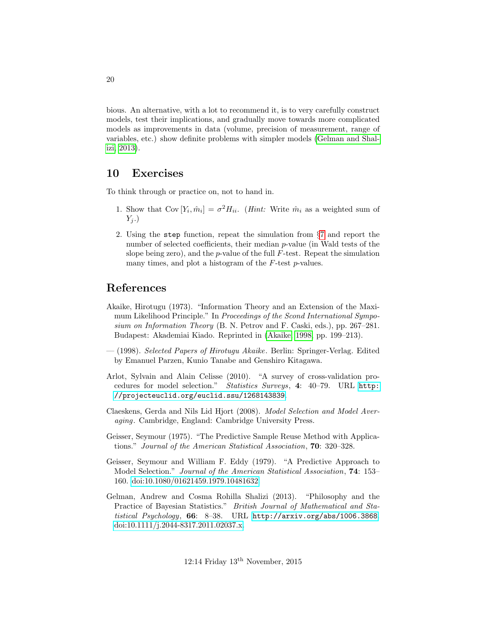bious. An alternative, with a lot to recommend it, is to very carefully construct models, test their implications, and gradually move towards more complicated models as improvements in data (volume, precision of measurement, range of variables, etc.) show definite problems with simpler models [\(Gelman and Shal](#page-19-7)[izi, 2013\)](#page-19-7).

#### <span id="page-19-0"></span>10 Exercises

To think through or practice on, not to hand in.

- <span id="page-19-1"></span>1. Show that  $Cov[Y_i, \hat{m}_i] = \sigma^2 H_{ii}$ . (*Hint:* Write  $\hat{m}_i$  as a weighted sum of  $Y_j$ .)
- 2. Using the step function, repeat the simulation from §[7](#page-12-1) and report the number of selected coefficients, their median p-value (in Wald tests of the slope being zero), and the  $p$ -value of the full  $F$ -test. Repeat the simulation many times, and plot a histogram of the  $F$ -test  $p$ -values.

## References

- <span id="page-19-2"></span>Akaike, Hirotugu (1973). "Information Theory and an Extension of the Maximum Likelihood Principle." In Proceedings of the Scond International Symposium on Information Theory (B. N. Petrov and F. Caski, eds.), pp. 267–281. Budapest: Akademiai Kiado. Reprinted in [\(Akaike, 1998,](#page-19-8) pp. 199–213).
- <span id="page-19-8"></span>— (1998). Selected Papers of Hirotugu Akaike. Berlin: Springer-Verlag. Edited by Emanuel Parzen, Kunio Tanabe and Genshiro Kitagawa.
- <span id="page-19-6"></span>Arlot, Sylvain and Alain Celisse (2010). "A survey of cross-validation procedures for model selection." Statistics Surveys, 4: 40–79. URL [http:](http://projecteuclid.org/euclid.ssu/1268143839) [//projecteuclid.org/euclid.ssu/1268143839](http://projecteuclid.org/euclid.ssu/1268143839).
- <span id="page-19-3"></span>Claeskens, Gerda and Nils Lid Hjort (2008). Model Selection and Model Averaging. Cambridge, England: Cambridge University Press.
- <span id="page-19-4"></span>Geisser, Seymour (1975). "The Predictive Sample Reuse Method with Applications." Journal of the American Statistical Association, 70: 320–328.
- <span id="page-19-5"></span>Geisser, Seymour and William F. Eddy (1979). "A Predictive Approach to Model Selection." Journal of the American Statistical Association, 74: 153– 160. [doi:10.1080/01621459.1979.10481632.](http://dx.doi.org/10.1080/01621459.1979.10481632)
- <span id="page-19-7"></span>Gelman, Andrew and Cosma Rohilla Shalizi (2013). "Philosophy and the Practice of Bayesian Statistics." British Journal of Mathematical and Statistical Psychology, 66: 8-38. URL <http://arxiv.org/abs/1006.3868>. [doi:10.1111/j.2044-8317.2011.02037.x.](http://dx.doi.org/10.1111/j.2044-8317.2011.02037.x)